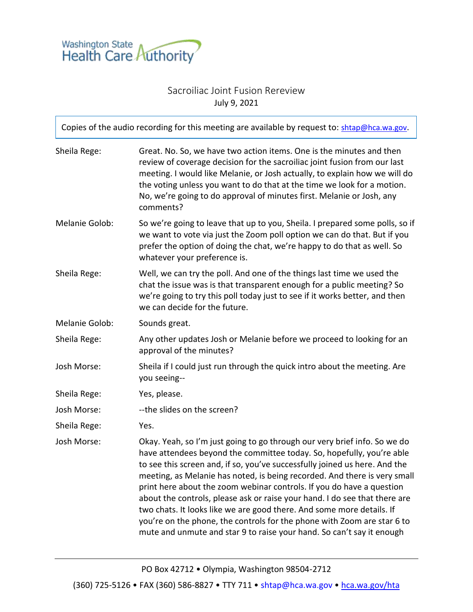

## Sacroiliac Joint Fusion Rereview July 9, 2021

| Copies of the audio recording for this meeting are available by request to: shtap@hca.wa.gov. |                                                                                                                                                                                                                                                                                                                                                                                                                                                                                                                                                                                                                                                                                                   |  |
|-----------------------------------------------------------------------------------------------|---------------------------------------------------------------------------------------------------------------------------------------------------------------------------------------------------------------------------------------------------------------------------------------------------------------------------------------------------------------------------------------------------------------------------------------------------------------------------------------------------------------------------------------------------------------------------------------------------------------------------------------------------------------------------------------------------|--|
| Sheila Rege:                                                                                  | Great. No. So, we have two action items. One is the minutes and then<br>review of coverage decision for the sacroiliac joint fusion from our last<br>meeting. I would like Melanie, or Josh actually, to explain how we will do<br>the voting unless you want to do that at the time we look for a motion.<br>No, we're going to do approval of minutes first. Melanie or Josh, any<br>comments?                                                                                                                                                                                                                                                                                                  |  |
| Melanie Golob:                                                                                | So we're going to leave that up to you, Sheila. I prepared some polls, so if<br>we want to vote via just the Zoom poll option we can do that. But if you<br>prefer the option of doing the chat, we're happy to do that as well. So<br>whatever your preference is.                                                                                                                                                                                                                                                                                                                                                                                                                               |  |
| Sheila Rege:                                                                                  | Well, we can try the poll. And one of the things last time we used the<br>chat the issue was is that transparent enough for a public meeting? So<br>we're going to try this poll today just to see if it works better, and then<br>we can decide for the future.                                                                                                                                                                                                                                                                                                                                                                                                                                  |  |
| Melanie Golob:                                                                                | Sounds great.                                                                                                                                                                                                                                                                                                                                                                                                                                                                                                                                                                                                                                                                                     |  |
| Sheila Rege:                                                                                  | Any other updates Josh or Melanie before we proceed to looking for an<br>approval of the minutes?                                                                                                                                                                                                                                                                                                                                                                                                                                                                                                                                                                                                 |  |
| Josh Morse:                                                                                   | Sheila if I could just run through the quick intro about the meeting. Are<br>you seeing--                                                                                                                                                                                                                                                                                                                                                                                                                                                                                                                                                                                                         |  |
| Sheila Rege:                                                                                  | Yes, please.                                                                                                                                                                                                                                                                                                                                                                                                                                                                                                                                                                                                                                                                                      |  |
| Josh Morse:                                                                                   | -- the slides on the screen?                                                                                                                                                                                                                                                                                                                                                                                                                                                                                                                                                                                                                                                                      |  |
| Sheila Rege:                                                                                  | Yes.                                                                                                                                                                                                                                                                                                                                                                                                                                                                                                                                                                                                                                                                                              |  |
| Josh Morse:                                                                                   | Okay. Yeah, so I'm just going to go through our very brief info. So we do<br>have attendees beyond the committee today. So, hopefully, you're able<br>to see this screen and, if so, you've successfully joined us here. And the<br>meeting, as Melanie has noted, is being recorded. And there is very small<br>print here about the zoom webinar controls. If you do have a question<br>about the controls, please ask or raise your hand. I do see that there are<br>two chats. It looks like we are good there. And some more details. If<br>you're on the phone, the controls for the phone with Zoom are star 6 to<br>mute and unmute and star 9 to raise your hand. So can't say it enough |  |

PO Box 42712 • Olympia, Washington 98504-2712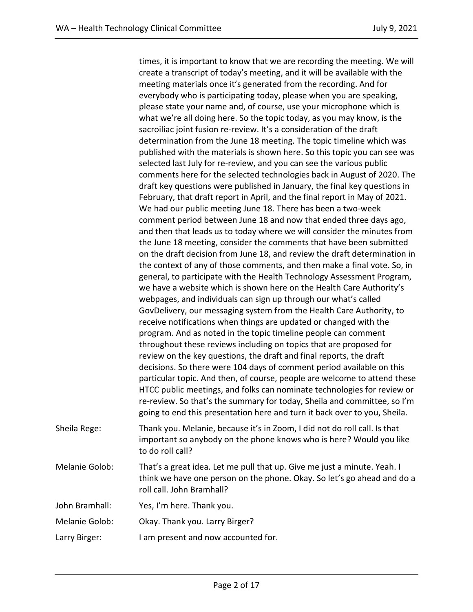times, it is important to know that we are recording the meeting. We will create a transcript of today's meeting, and it will be available with the meeting materials once it's generated from the recording. And for everybody who is participating today, please when you are speaking, please state your name and, of course, use your microphone which is what we're all doing here. So the topic today, as you may know, is the sacroiliac joint fusion re-review. It's a consideration of the draft determination from the June 18 meeting. The topic timeline which was published with the materials is shown here. So this topic you can see was selected last July for re-review, and you can see the various public comments here for the selected technologies back in August of 2020. The draft key questions were published in January, the final key questions in February, that draft report in April, and the final report in May of 2021. We had our public meeting June 18. There has been a two-week comment period between June 18 and now that ended three days ago, and then that leads us to today where we will consider the minutes from the June 18 meeting, consider the comments that have been submitted on the draft decision from June 18, and review the draft determination in the context of any of those comments, and then make a final vote. So, in general, to participate with the Health Technology Assessment Program, we have a website which is shown here on the Health Care Authority's webpages, and individuals can sign up through our what's called GovDelivery, our messaging system from the Health Care Authority, to receive notifications when things are updated or changed with the program. And as noted in the topic timeline people can comment throughout these reviews including on topics that are proposed for review on the key questions, the draft and final reports, the draft decisions. So there were 104 days of comment period available on this particular topic. And then, of course, people are welcome to attend these HTCC public meetings, and folks can nominate technologies for review or re-review. So that's the summary for today, Sheila and committee, so I'm going to end this presentation here and turn it back over to you, Sheila. Sheila Rege: Thank you. Melanie, because it's in Zoom, I did not do roll call. Is that important so anybody on the phone knows who is here? Would you like to do roll call? Melanie Golob: That's a great idea. Let me pull that up. Give me just a minute. Yeah. I think we have one person on the phone. Okay. So let's go ahead and do a roll call. John Bramhall? John Bramhall: Yes, I'm here. Thank you. Melanie Golob: Okay. Thank you. Larry Birger?

Larry Birger: I am present and now accounted for.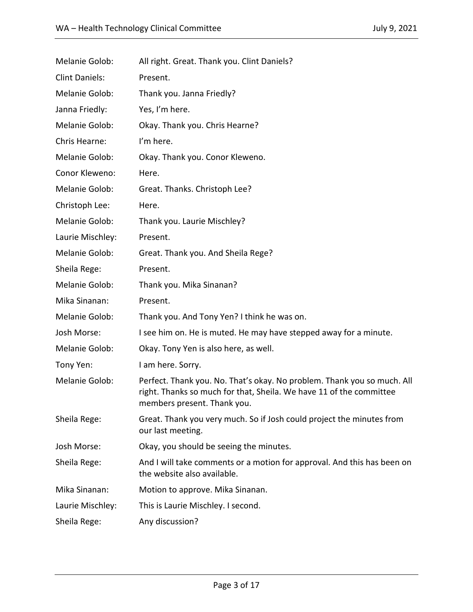| Melanie Golob:        | All right. Great. Thank you. Clint Daniels?                                                                                                                                   |  |
|-----------------------|-------------------------------------------------------------------------------------------------------------------------------------------------------------------------------|--|
| <b>Clint Daniels:</b> | Present.                                                                                                                                                                      |  |
| Melanie Golob:        | Thank you. Janna Friedly?                                                                                                                                                     |  |
| Janna Friedly:        | Yes, I'm here.                                                                                                                                                                |  |
| Melanie Golob:        | Okay. Thank you. Chris Hearne?                                                                                                                                                |  |
| Chris Hearne:         | I'm here.                                                                                                                                                                     |  |
| Melanie Golob:        | Okay. Thank you. Conor Kleweno.                                                                                                                                               |  |
| Conor Kleweno:        | Here.                                                                                                                                                                         |  |
| Melanie Golob:        | Great. Thanks. Christoph Lee?                                                                                                                                                 |  |
| Christoph Lee:        | Here.                                                                                                                                                                         |  |
| Melanie Golob:        | Thank you. Laurie Mischley?                                                                                                                                                   |  |
| Laurie Mischley:      | Present.                                                                                                                                                                      |  |
| Melanie Golob:        | Great. Thank you. And Sheila Rege?                                                                                                                                            |  |
| Sheila Rege:          | Present.                                                                                                                                                                      |  |
| Melanie Golob:        | Thank you. Mika Sinanan?                                                                                                                                                      |  |
| Mika Sinanan:         | Present.                                                                                                                                                                      |  |
| Melanie Golob:        | Thank you. And Tony Yen? I think he was on.                                                                                                                                   |  |
| Josh Morse:           | I see him on. He is muted. He may have stepped away for a minute.                                                                                                             |  |
| Melanie Golob:        | Okay. Tony Yen is also here, as well.                                                                                                                                         |  |
| Tony Yen:             | I am here. Sorry.                                                                                                                                                             |  |
| Melanie Golob:        | Perfect. Thank you. No. That's okay. No problem. Thank you so much. All<br>right. Thanks so much for that, Sheila. We have 11 of the committee<br>members present. Thank you. |  |
| Sheila Rege:          | Great. Thank you very much. So if Josh could project the minutes from<br>our last meeting.                                                                                    |  |
| Josh Morse:           | Okay, you should be seeing the minutes.                                                                                                                                       |  |
| Sheila Rege:          | And I will take comments or a motion for approval. And this has been on<br>the website also available.                                                                        |  |
| Mika Sinanan:         | Motion to approve. Mika Sinanan.                                                                                                                                              |  |
| Laurie Mischley:      | This is Laurie Mischley. I second.                                                                                                                                            |  |
| Sheila Rege:          | Any discussion?                                                                                                                                                               |  |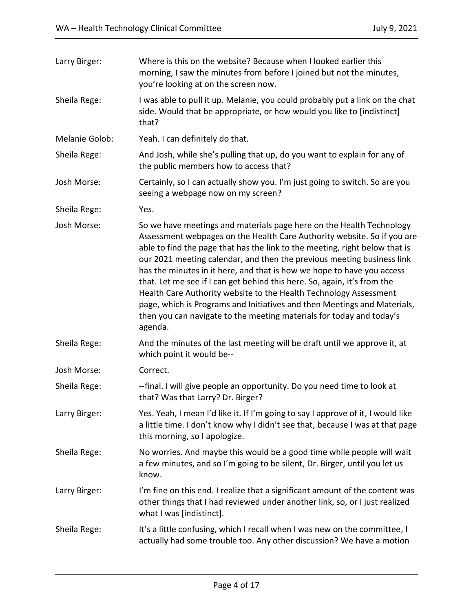| Larry Birger:  | Where is this on the website? Because when I looked earlier this<br>morning, I saw the minutes from before I joined but not the minutes,<br>you're looking at on the screen now.                                                                                                                                                                                                                                                                                                                                                                                                                                                                                                                   |
|----------------|----------------------------------------------------------------------------------------------------------------------------------------------------------------------------------------------------------------------------------------------------------------------------------------------------------------------------------------------------------------------------------------------------------------------------------------------------------------------------------------------------------------------------------------------------------------------------------------------------------------------------------------------------------------------------------------------------|
| Sheila Rege:   | I was able to pull it up. Melanie, you could probably put a link on the chat<br>side. Would that be appropriate, or how would you like to [indistinct]<br>that?                                                                                                                                                                                                                                                                                                                                                                                                                                                                                                                                    |
| Melanie Golob: | Yeah. I can definitely do that.                                                                                                                                                                                                                                                                                                                                                                                                                                                                                                                                                                                                                                                                    |
| Sheila Rege:   | And Josh, while she's pulling that up, do you want to explain for any of<br>the public members how to access that?                                                                                                                                                                                                                                                                                                                                                                                                                                                                                                                                                                                 |
| Josh Morse:    | Certainly, so I can actually show you. I'm just going to switch. So are you<br>seeing a webpage now on my screen?                                                                                                                                                                                                                                                                                                                                                                                                                                                                                                                                                                                  |
| Sheila Rege:   | Yes.                                                                                                                                                                                                                                                                                                                                                                                                                                                                                                                                                                                                                                                                                               |
| Josh Morse:    | So we have meetings and materials page here on the Health Technology<br>Assessment webpages on the Health Care Authority website. So if you are<br>able to find the page that has the link to the meeting, right below that is<br>our 2021 meeting calendar, and then the previous meeting business link<br>has the minutes in it here, and that is how we hope to have you access<br>that. Let me see if I can get behind this here. So, again, it's from the<br>Health Care Authority website to the Health Technology Assessment<br>page, which is Programs and Initiatives and then Meetings and Materials,<br>then you can navigate to the meeting materials for today and today's<br>agenda. |
| Sheila Rege:   | And the minutes of the last meeting will be draft until we approve it, at<br>which point it would be--                                                                                                                                                                                                                                                                                                                                                                                                                                                                                                                                                                                             |
| Josh Morse:    | Correct.                                                                                                                                                                                                                                                                                                                                                                                                                                                                                                                                                                                                                                                                                           |
| Sheila Rege:   | --final. I will give people an opportunity. Do you need time to look at<br>that? Was that Larry? Dr. Birger?                                                                                                                                                                                                                                                                                                                                                                                                                                                                                                                                                                                       |
| Larry Birger:  | Yes. Yeah, I mean I'd like it. If I'm going to say I approve of it, I would like<br>a little time. I don't know why I didn't see that, because I was at that page<br>this morning, so I apologize.                                                                                                                                                                                                                                                                                                                                                                                                                                                                                                 |
| Sheila Rege:   | No worries. And maybe this would be a good time while people will wait<br>a few minutes, and so I'm going to be silent, Dr. Birger, until you let us<br>know.                                                                                                                                                                                                                                                                                                                                                                                                                                                                                                                                      |
| Larry Birger:  | I'm fine on this end. I realize that a significant amount of the content was<br>other things that I had reviewed under another link, so, or I just realized<br>what I was [indistinct].                                                                                                                                                                                                                                                                                                                                                                                                                                                                                                            |
| Sheila Rege:   | It's a little confusing, which I recall when I was new on the committee, I<br>actually had some trouble too. Any other discussion? We have a motion                                                                                                                                                                                                                                                                                                                                                                                                                                                                                                                                                |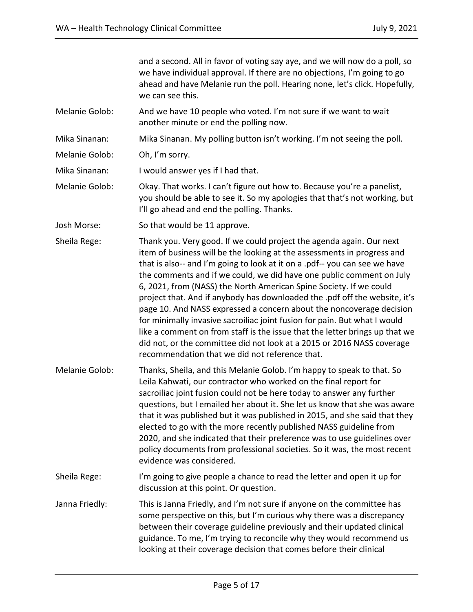and a second. All in favor of voting say aye, and we will now do a poll, so we have individual approval. If there are no objections, I'm going to go ahead and have Melanie run the poll. Hearing none, let's click. Hopefully, we can see this.

Melanie Golob: And we have 10 people who voted. I'm not sure if we want to wait another minute or end the polling now.

Mika Sinanan: Mika Sinanan. My polling button isn't working. I'm not seeing the poll.

Melanie Golob: Oh, I'm sorry.

Mika Sinanan: I would answer yes if I had that.

- Melanie Golob: Okay. That works. I can't figure out how to. Because you're a panelist, you should be able to see it. So my apologies that that's not working, but I'll go ahead and end the polling. Thanks.
- Josh Morse: So that would be 11 approve.
- Sheila Rege: Thank you. Very good. If we could project the agenda again. Our next item of business will be the looking at the assessments in progress and that is also-- and I'm going to look at it on a .pdf-- you can see we have the comments and if we could, we did have one public comment on July 6, 2021, from (NASS) the North American Spine Society. If we could project that. And if anybody has downloaded the .pdf off the website, it's page 10. And NASS expressed a concern about the noncoverage decision for minimally invasive sacroiliac joint fusion for pain. But what I would like a comment on from staff is the issue that the letter brings up that we did not, or the committee did not look at a 2015 or 2016 NASS coverage recommendation that we did not reference that.
- Melanie Golob: Thanks, Sheila, and this Melanie Golob. I'm happy to speak to that. So Leila Kahwati, our contractor who worked on the final report for sacroiliac joint fusion could not be here today to answer any further questions, but I emailed her about it. She let us know that she was aware that it was published but it was published in 2015, and she said that they elected to go with the more recently published NASS guideline from 2020, and she indicated that their preference was to use guidelines over policy documents from professional societies. So it was, the most recent evidence was considered.
- Sheila Rege: I'm going to give people a chance to read the letter and open it up for discussion at this point. Or question.
- Janna Friedly: This is Janna Friedly, and I'm not sure if anyone on the committee has some perspective on this, but I'm curious why there was a discrepancy between their coverage guideline previously and their updated clinical guidance. To me, I'm trying to reconcile why they would recommend us looking at their coverage decision that comes before their clinical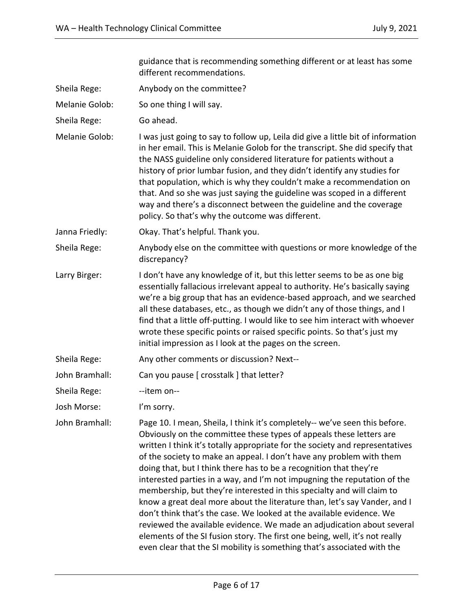guidance that is recommending something different or at least has some different recommendations. Sheila Rege: Anybody on the committee? Melanie Golob: So one thing I will say. Sheila Rege: Go ahead. Melanie Golob: I was just going to say to follow up, Leila did give a little bit of information in her email. This is Melanie Golob for the transcript. She did specify that the NASS guideline only considered literature for patients without a history of prior lumbar fusion, and they didn't identify any studies for that population, which is why they couldn't make a recommendation on that. And so she was just saying the guideline was scoped in a different way and there's a disconnect between the guideline and the coverage policy. So that's why the outcome was different. Janna Friedly: Okay. That's helpful. Thank you. Sheila Rege: Anybody else on the committee with questions or more knowledge of the discrepancy? Larry Birger: I don't have any knowledge of it, but this letter seems to be as one big essentially fallacious irrelevant appeal to authority. He's basically saying we're a big group that has an evidence-based approach, and we searched all these databases, etc., as though we didn't any of those things, and I find that a little off-putting. I would like to see him interact with whoever wrote these specific points or raised specific points. So that's just my initial impression as I look at the pages on the screen. Sheila Rege: Any other comments or discussion? Next--John Bramhall: Can you pause [ crosstalk ] that letter? Sheila Rege: The Sheila Rege: Josh Morse: I'm sorry. John Bramhall: Page 10. I mean, Sheila, I think it's completely-- we've seen this before. Obviously on the committee these types of appeals these letters are written I think it's totally appropriate for the society and representatives of the society to make an appeal. I don't have any problem with them doing that, but I think there has to be a recognition that they're interested parties in a way, and I'm not impugning the reputation of the membership, but they're interested in this specialty and will claim to know a great deal more about the literature than, let's say Vander, and I don't think that's the case. We looked at the available evidence. We reviewed the available evidence. We made an adjudication about several elements of the SI fusion story. The first one being, well, it's not really even clear that the SI mobility is something that's associated with the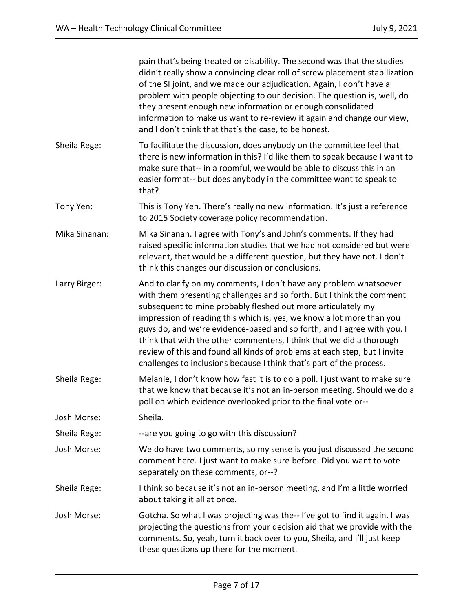|               | pain that's being treated or disability. The second was that the studies<br>didn't really show a convincing clear roll of screw placement stabilization<br>of the SI joint, and we made our adjudication. Again, I don't have a<br>problem with people objecting to our decision. The question is, well, do<br>they present enough new information or enough consolidated<br>information to make us want to re-review it again and change our view,<br>and I don't think that that's the case, to be honest.                                                                                 |  |
|---------------|----------------------------------------------------------------------------------------------------------------------------------------------------------------------------------------------------------------------------------------------------------------------------------------------------------------------------------------------------------------------------------------------------------------------------------------------------------------------------------------------------------------------------------------------------------------------------------------------|--|
| Sheila Rege:  | To facilitate the discussion, does anybody on the committee feel that<br>there is new information in this? I'd like them to speak because I want to<br>make sure that-- in a roomful, we would be able to discuss this in an<br>easier format-- but does anybody in the committee want to speak to<br>that?                                                                                                                                                                                                                                                                                  |  |
| Tony Yen:     | This is Tony Yen. There's really no new information. It's just a reference<br>to 2015 Society coverage policy recommendation.                                                                                                                                                                                                                                                                                                                                                                                                                                                                |  |
| Mika Sinanan: | Mika Sinanan. I agree with Tony's and John's comments. If they had<br>raised specific information studies that we had not considered but were<br>relevant, that would be a different question, but they have not. I don't<br>think this changes our discussion or conclusions.                                                                                                                                                                                                                                                                                                               |  |
| Larry Birger: | And to clarify on my comments, I don't have any problem whatsoever<br>with them presenting challenges and so forth. But I think the comment<br>subsequent to mine probably fleshed out more articulately my<br>impression of reading this which is, yes, we know a lot more than you<br>guys do, and we're evidence-based and so forth, and I agree with you. I<br>think that with the other commenters, I think that we did a thorough<br>review of this and found all kinds of problems at each step, but I invite<br>challenges to inclusions because I think that's part of the process. |  |
| Sheila Rege:  | Melanie, I don't know how fast it is to do a poll. I just want to make sure<br>that we know that because it's not an in-person meeting. Should we do a<br>poll on which evidence overlooked prior to the final vote or--                                                                                                                                                                                                                                                                                                                                                                     |  |
| Josh Morse:   | Sheila.                                                                                                                                                                                                                                                                                                                                                                                                                                                                                                                                                                                      |  |
| Sheila Rege:  | --are you going to go with this discussion?                                                                                                                                                                                                                                                                                                                                                                                                                                                                                                                                                  |  |
| Josh Morse:   | We do have two comments, so my sense is you just discussed the second<br>comment here. I just want to make sure before. Did you want to vote<br>separately on these comments, or--?                                                                                                                                                                                                                                                                                                                                                                                                          |  |
| Sheila Rege:  | I think so because it's not an in-person meeting, and I'm a little worried<br>about taking it all at once.                                                                                                                                                                                                                                                                                                                                                                                                                                                                                   |  |
| Josh Morse:   | Gotcha. So what I was projecting was the--I've got to find it again. I was<br>projecting the questions from your decision aid that we provide with the<br>comments. So, yeah, turn it back over to you, Sheila, and I'll just keep<br>these questions up there for the moment.                                                                                                                                                                                                                                                                                                               |  |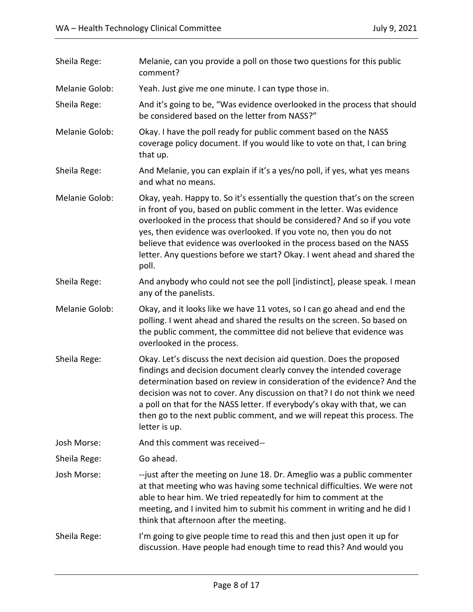| Sheila Rege:   | Melanie, can you provide a poll on those two questions for this public<br>comment?                                                                                                                                                                                                                                                                                                                                                                                             |  |
|----------------|--------------------------------------------------------------------------------------------------------------------------------------------------------------------------------------------------------------------------------------------------------------------------------------------------------------------------------------------------------------------------------------------------------------------------------------------------------------------------------|--|
| Melanie Golob: | Yeah. Just give me one minute. I can type those in.                                                                                                                                                                                                                                                                                                                                                                                                                            |  |
| Sheila Rege:   | And it's going to be, "Was evidence overlooked in the process that should<br>be considered based on the letter from NASS?"                                                                                                                                                                                                                                                                                                                                                     |  |
| Melanie Golob: | Okay. I have the poll ready for public comment based on the NASS<br>coverage policy document. If you would like to vote on that, I can bring<br>that up.                                                                                                                                                                                                                                                                                                                       |  |
| Sheila Rege:   | And Melanie, you can explain if it's a yes/no poll, if yes, what yes means<br>and what no means.                                                                                                                                                                                                                                                                                                                                                                               |  |
| Melanie Golob: | Okay, yeah. Happy to. So it's essentially the question that's on the screen<br>in front of you, based on public comment in the letter. Was evidence<br>overlooked in the process that should be considered? And so if you vote<br>yes, then evidence was overlooked. If you vote no, then you do not<br>believe that evidence was overlooked in the process based on the NASS<br>letter. Any questions before we start? Okay. I went ahead and shared the<br>poll.             |  |
| Sheila Rege:   | And anybody who could not see the poll [indistinct], please speak. I mean<br>any of the panelists.                                                                                                                                                                                                                                                                                                                                                                             |  |
| Melanie Golob: | Okay, and it looks like we have 11 votes, so I can go ahead and end the<br>polling. I went ahead and shared the results on the screen. So based on<br>the public comment, the committee did not believe that evidence was<br>overlooked in the process.                                                                                                                                                                                                                        |  |
| Sheila Rege:   | Okay. Let's discuss the next decision aid question. Does the proposed<br>findings and decision document clearly convey the intended coverage<br>determination based on review in consideration of the evidence? And the<br>decision was not to cover. Any discussion on that? I do not think we need<br>a poll on that for the NASS letter. If everybody's okay with that, we can<br>then go to the next public comment, and we will repeat this process. The<br>letter is up. |  |
| Josh Morse:    | And this comment was received--                                                                                                                                                                                                                                                                                                                                                                                                                                                |  |
| Sheila Rege:   | Go ahead.                                                                                                                                                                                                                                                                                                                                                                                                                                                                      |  |
| Josh Morse:    | --just after the meeting on June 18. Dr. Ameglio was a public commenter<br>at that meeting who was having some technical difficulties. We were not<br>able to hear him. We tried repeatedly for him to comment at the<br>meeting, and I invited him to submit his comment in writing and he did I<br>think that afternoon after the meeting.                                                                                                                                   |  |
| Sheila Rege:   | I'm going to give people time to read this and then just open it up for<br>discussion. Have people had enough time to read this? And would you                                                                                                                                                                                                                                                                                                                                 |  |
|                |                                                                                                                                                                                                                                                                                                                                                                                                                                                                                |  |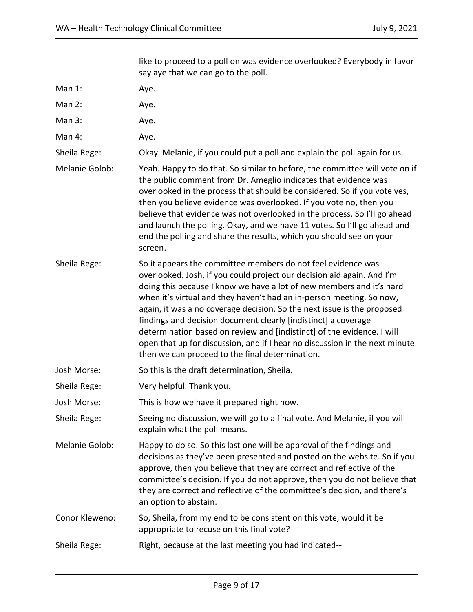|                | like to proceed to a poll on was evidence overlooked? Everybody in favor<br>say aye that we can go to the poll.                                                                                                                                                                                                                                                                                                                                                                                                                                                                                                                                 |  |
|----------------|-------------------------------------------------------------------------------------------------------------------------------------------------------------------------------------------------------------------------------------------------------------------------------------------------------------------------------------------------------------------------------------------------------------------------------------------------------------------------------------------------------------------------------------------------------------------------------------------------------------------------------------------------|--|
| Man 1:         | Aye.                                                                                                                                                                                                                                                                                                                                                                                                                                                                                                                                                                                                                                            |  |
| Man 2:         | Aye.                                                                                                                                                                                                                                                                                                                                                                                                                                                                                                                                                                                                                                            |  |
| Man 3:         | Aye.                                                                                                                                                                                                                                                                                                                                                                                                                                                                                                                                                                                                                                            |  |
| Man 4:         | Aye.                                                                                                                                                                                                                                                                                                                                                                                                                                                                                                                                                                                                                                            |  |
| Sheila Rege:   | Okay. Melanie, if you could put a poll and explain the poll again for us.                                                                                                                                                                                                                                                                                                                                                                                                                                                                                                                                                                       |  |
| Melanie Golob: | Yeah. Happy to do that. So similar to before, the committee will vote on if<br>the public comment from Dr. Ameglio indicates that evidence was<br>overlooked in the process that should be considered. So if you vote yes,<br>then you believe evidence was overlooked. If you vote no, then you<br>believe that evidence was not overlooked in the process. So I'll go ahead<br>and launch the polling. Okay, and we have 11 votes. So I'll go ahead and<br>end the polling and share the results, which you should see on your<br>screen.                                                                                                     |  |
| Sheila Rege:   | So it appears the committee members do not feel evidence was<br>overlooked. Josh, if you could project our decision aid again. And I'm<br>doing this because I know we have a lot of new members and it's hard<br>when it's virtual and they haven't had an in-person meeting. So now,<br>again, it was a no coverage decision. So the next issue is the proposed<br>findings and decision document clearly [indistinct] a coverage<br>determination based on review and [indistinct] of the evidence. I will<br>open that up for discussion, and if I hear no discussion in the next minute<br>then we can proceed to the final determination. |  |
| Josh Morse:    | So this is the draft determination, Sheila.                                                                                                                                                                                                                                                                                                                                                                                                                                                                                                                                                                                                     |  |
| Sheila Rege:   | Very helpful. Thank you.                                                                                                                                                                                                                                                                                                                                                                                                                                                                                                                                                                                                                        |  |
| Josh Morse:    | This is how we have it prepared right now.                                                                                                                                                                                                                                                                                                                                                                                                                                                                                                                                                                                                      |  |
| Sheila Rege:   | Seeing no discussion, we will go to a final vote. And Melanie, if you will<br>explain what the poll means.                                                                                                                                                                                                                                                                                                                                                                                                                                                                                                                                      |  |
| Melanie Golob: | Happy to do so. So this last one will be approval of the findings and<br>decisions as they've been presented and posted on the website. So if you<br>approve, then you believe that they are correct and reflective of the<br>committee's decision. If you do not approve, then you do not believe that<br>they are correct and reflective of the committee's decision, and there's<br>an option to abstain.                                                                                                                                                                                                                                    |  |
| Conor Kleweno: | So, Sheila, from my end to be consistent on this vote, would it be<br>appropriate to recuse on this final vote?                                                                                                                                                                                                                                                                                                                                                                                                                                                                                                                                 |  |
| Sheila Rege:   | Right, because at the last meeting you had indicated--                                                                                                                                                                                                                                                                                                                                                                                                                                                                                                                                                                                          |  |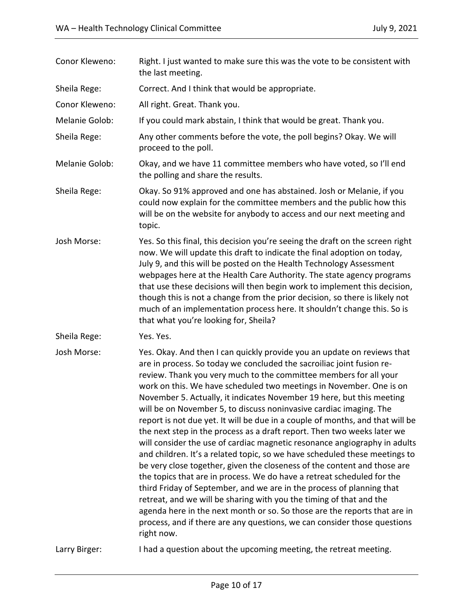| Conor Kleweno: | Right. I just wanted to make sure this was the vote to be consistent with<br>the last meeting.                                                                                                                                                                                                                                                                                                                                                                                                                                                                                                                                                                                                                                                                                                                                                                                                                                                                                                                                                                                                                                                                                                                                                  |  |
|----------------|-------------------------------------------------------------------------------------------------------------------------------------------------------------------------------------------------------------------------------------------------------------------------------------------------------------------------------------------------------------------------------------------------------------------------------------------------------------------------------------------------------------------------------------------------------------------------------------------------------------------------------------------------------------------------------------------------------------------------------------------------------------------------------------------------------------------------------------------------------------------------------------------------------------------------------------------------------------------------------------------------------------------------------------------------------------------------------------------------------------------------------------------------------------------------------------------------------------------------------------------------|--|
| Sheila Rege:   | Correct. And I think that would be appropriate.                                                                                                                                                                                                                                                                                                                                                                                                                                                                                                                                                                                                                                                                                                                                                                                                                                                                                                                                                                                                                                                                                                                                                                                                 |  |
| Conor Kleweno: | All right. Great. Thank you.                                                                                                                                                                                                                                                                                                                                                                                                                                                                                                                                                                                                                                                                                                                                                                                                                                                                                                                                                                                                                                                                                                                                                                                                                    |  |
| Melanie Golob: | If you could mark abstain, I think that would be great. Thank you.                                                                                                                                                                                                                                                                                                                                                                                                                                                                                                                                                                                                                                                                                                                                                                                                                                                                                                                                                                                                                                                                                                                                                                              |  |
| Sheila Rege:   | Any other comments before the vote, the poll begins? Okay. We will<br>proceed to the poll.                                                                                                                                                                                                                                                                                                                                                                                                                                                                                                                                                                                                                                                                                                                                                                                                                                                                                                                                                                                                                                                                                                                                                      |  |
| Melanie Golob: | Okay, and we have 11 committee members who have voted, so I'll end<br>the polling and share the results.                                                                                                                                                                                                                                                                                                                                                                                                                                                                                                                                                                                                                                                                                                                                                                                                                                                                                                                                                                                                                                                                                                                                        |  |
| Sheila Rege:   | Okay. So 91% approved and one has abstained. Josh or Melanie, if you<br>could now explain for the committee members and the public how this<br>will be on the website for anybody to access and our next meeting and<br>topic.                                                                                                                                                                                                                                                                                                                                                                                                                                                                                                                                                                                                                                                                                                                                                                                                                                                                                                                                                                                                                  |  |
| Josh Morse:    | Yes. So this final, this decision you're seeing the draft on the screen right<br>now. We will update this draft to indicate the final adoption on today,<br>July 9, and this will be posted on the Health Technology Assessment<br>webpages here at the Health Care Authority. The state agency programs<br>that use these decisions will then begin work to implement this decision,<br>though this is not a change from the prior decision, so there is likely not<br>much of an implementation process here. It shouldn't change this. So is<br>that what you're looking for, Sheila?                                                                                                                                                                                                                                                                                                                                                                                                                                                                                                                                                                                                                                                        |  |
| Sheila Rege:   | Yes. Yes.                                                                                                                                                                                                                                                                                                                                                                                                                                                                                                                                                                                                                                                                                                                                                                                                                                                                                                                                                                                                                                                                                                                                                                                                                                       |  |
| Josh Morse:    | Yes. Okay. And then I can quickly provide you an update on reviews that<br>are in process. So today we concluded the sacroiliac joint fusion re-<br>review. Thank you very much to the committee members for all your<br>work on this. We have scheduled two meetings in November. One is on<br>November 5. Actually, it indicates November 19 here, but this meeting<br>will be on November 5, to discuss noninvasive cardiac imaging. The<br>report is not due yet. It will be due in a couple of months, and that will be<br>the next step in the process as a draft report. Then two weeks later we<br>will consider the use of cardiac magnetic resonance angiography in adults<br>and children. It's a related topic, so we have scheduled these meetings to<br>be very close together, given the closeness of the content and those are<br>the topics that are in process. We do have a retreat scheduled for the<br>third Friday of September, and we are in the process of planning that<br>retreat, and we will be sharing with you the timing of that and the<br>agenda here in the next month or so. So those are the reports that are in<br>process, and if there are any questions, we can consider those questions<br>right now. |  |
| Larry Birger:  | I had a question about the upcoming meeting, the retreat meeting.                                                                                                                                                                                                                                                                                                                                                                                                                                                                                                                                                                                                                                                                                                                                                                                                                                                                                                                                                                                                                                                                                                                                                                               |  |
|                |                                                                                                                                                                                                                                                                                                                                                                                                                                                                                                                                                                                                                                                                                                                                                                                                                                                                                                                                                                                                                                                                                                                                                                                                                                                 |  |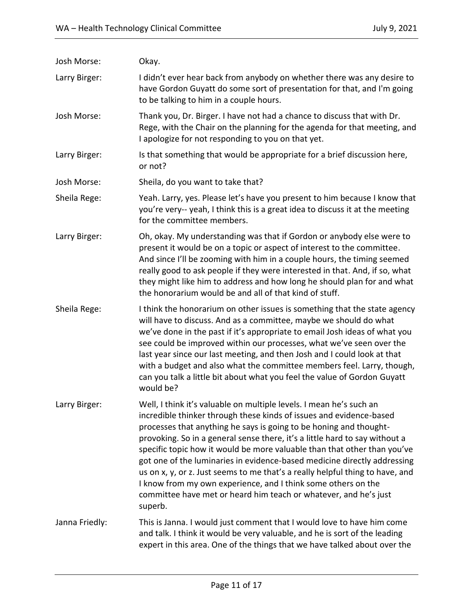| Josh Morse:    | Okay.                                                                                                                                                                                                                                                                                                                                                                                                                                                                                                                                                                                                                                                                                    |
|----------------|------------------------------------------------------------------------------------------------------------------------------------------------------------------------------------------------------------------------------------------------------------------------------------------------------------------------------------------------------------------------------------------------------------------------------------------------------------------------------------------------------------------------------------------------------------------------------------------------------------------------------------------------------------------------------------------|
| Larry Birger:  | I didn't ever hear back from anybody on whether there was any desire to<br>have Gordon Guyatt do some sort of presentation for that, and I'm going<br>to be talking to him in a couple hours.                                                                                                                                                                                                                                                                                                                                                                                                                                                                                            |
| Josh Morse:    | Thank you, Dr. Birger. I have not had a chance to discuss that with Dr.<br>Rege, with the Chair on the planning for the agenda for that meeting, and<br>I apologize for not responding to you on that yet.                                                                                                                                                                                                                                                                                                                                                                                                                                                                               |
| Larry Birger:  | Is that something that would be appropriate for a brief discussion here,<br>or not?                                                                                                                                                                                                                                                                                                                                                                                                                                                                                                                                                                                                      |
| Josh Morse:    | Sheila, do you want to take that?                                                                                                                                                                                                                                                                                                                                                                                                                                                                                                                                                                                                                                                        |
| Sheila Rege:   | Yeah. Larry, yes. Please let's have you present to him because I know that<br>you're very-- yeah, I think this is a great idea to discuss it at the meeting<br>for the committee members.                                                                                                                                                                                                                                                                                                                                                                                                                                                                                                |
| Larry Birger:  | Oh, okay. My understanding was that if Gordon or anybody else were to<br>present it would be on a topic or aspect of interest to the committee.<br>And since I'll be zooming with him in a couple hours, the timing seemed<br>really good to ask people if they were interested in that. And, if so, what<br>they might like him to address and how long he should plan for and what<br>the honorarium would be and all of that kind of stuff.                                                                                                                                                                                                                                           |
| Sheila Rege:   | I think the honorarium on other issues is something that the state agency<br>will have to discuss. And as a committee, maybe we should do what<br>we've done in the past if it's appropriate to email Josh ideas of what you<br>see could be improved within our processes, what we've seen over the<br>last year since our last meeting, and then Josh and I could look at that<br>with a budget and also what the committee members feel. Larry, though,<br>can you talk a little bit about what you feel the value of Gordon Guyatt<br>would be?                                                                                                                                      |
| Larry Birger:  | Well, I think it's valuable on multiple levels. I mean he's such an<br>incredible thinker through these kinds of issues and evidence-based<br>processes that anything he says is going to be honing and thought-<br>provoking. So in a general sense there, it's a little hard to say without a<br>specific topic how it would be more valuable than that other than you've<br>got one of the luminaries in evidence-based medicine directly addressing<br>us on x, y, or z. Just seems to me that's a really helpful thing to have, and<br>I know from my own experience, and I think some others on the<br>committee have met or heard him teach or whatever, and he's just<br>superb. |
| Janna Friedly: | This is Janna. I would just comment that I would love to have him come<br>and talk. I think it would be very valuable, and he is sort of the leading<br>expert in this area. One of the things that we have talked about over the                                                                                                                                                                                                                                                                                                                                                                                                                                                        |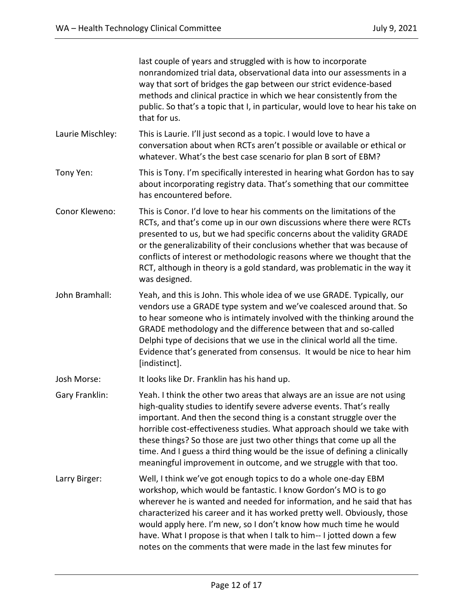|                  | last couple of years and struggled with is how to incorporate<br>nonrandomized trial data, observational data into our assessments in a<br>way that sort of bridges the gap between our strict evidence-based<br>methods and clinical practice in which we hear consistently from the<br>public. So that's a topic that I, in particular, would love to hear his take on<br>that for us.                                                                                                                                         |
|------------------|----------------------------------------------------------------------------------------------------------------------------------------------------------------------------------------------------------------------------------------------------------------------------------------------------------------------------------------------------------------------------------------------------------------------------------------------------------------------------------------------------------------------------------|
| Laurie Mischley: | This is Laurie. I'll just second as a topic. I would love to have a<br>conversation about when RCTs aren't possible or available or ethical or<br>whatever. What's the best case scenario for plan B sort of EBM?                                                                                                                                                                                                                                                                                                                |
| Tony Yen:        | This is Tony. I'm specifically interested in hearing what Gordon has to say<br>about incorporating registry data. That's something that our committee<br>has encountered before.                                                                                                                                                                                                                                                                                                                                                 |
| Conor Kleweno:   | This is Conor. I'd love to hear his comments on the limitations of the<br>RCTs, and that's come up in our own discussions where there were RCTs<br>presented to us, but we had specific concerns about the validity GRADE<br>or the generalizability of their conclusions whether that was because of<br>conflicts of interest or methodologic reasons where we thought that the<br>RCT, although in theory is a gold standard, was problematic in the way it<br>was designed.                                                   |
| John Bramhall:   | Yeah, and this is John. This whole idea of we use GRADE. Typically, our<br>vendors use a GRADE type system and we've coalesced around that. So<br>to hear someone who is intimately involved with the thinking around the<br>GRADE methodology and the difference between that and so-called<br>Delphi type of decisions that we use in the clinical world all the time.<br>Evidence that's generated from consensus. It would be nice to hear him<br>[indistinct].                                                              |
| Josh Morse:      | It looks like Dr. Franklin has his hand up.                                                                                                                                                                                                                                                                                                                                                                                                                                                                                      |
| Gary Franklin:   | Yeah. I think the other two areas that always are an issue are not using<br>high-quality studies to identify severe adverse events. That's really<br>important. And then the second thing is a constant struggle over the<br>horrible cost-effectiveness studies. What approach should we take with<br>these things? So those are just two other things that come up all the<br>time. And I guess a third thing would be the issue of defining a clinically<br>meaningful improvement in outcome, and we struggle with that too. |
| Larry Birger:    | Well, I think we've got enough topics to do a whole one-day EBM<br>workshop, which would be fantastic. I know Gordon's MO is to go<br>wherever he is wanted and needed for information, and he said that has<br>characterized his career and it has worked pretty well. Obviously, those<br>would apply here. I'm new, so I don't know how much time he would<br>have. What I propose is that when I talk to him-- I jotted down a few<br>notes on the comments that were made in the last few minutes for                       |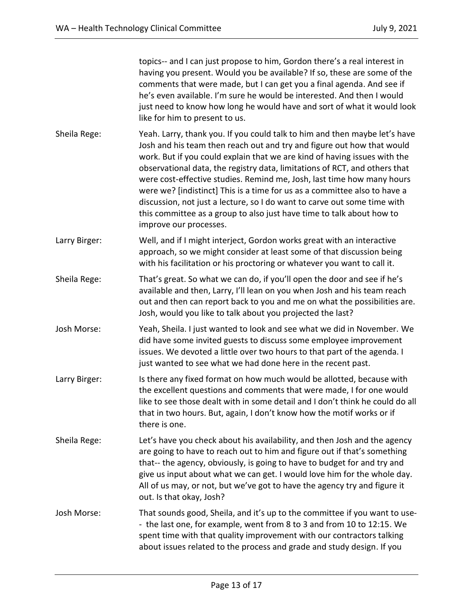topics-- and I can just propose to him, Gordon there's a real interest in having you present. Would you be available? If so, these are some of the comments that were made, but I can get you a final agenda. And see if he's even available. I'm sure he would be interested. And then I would just need to know how long he would have and sort of what it would look like for him to present to us. Sheila Rege: Yeah. Larry, thank you. If you could talk to him and then maybe let's have Josh and his team then reach out and try and figure out how that would work. But if you could explain that we are kind of having issues with the observational data, the registry data, limitations of RCT, and others that were cost-effective studies. Remind me, Josh, last time how many hours were we? [indistinct] This is a time for us as a committee also to have a discussion, not just a lecture, so I do want to carve out some time with this committee as a group to also just have time to talk about how to improve our processes. Larry Birger: Well, and if I might interject, Gordon works great with an interactive approach, so we might consider at least some of that discussion being with his facilitation or his proctoring or whatever you want to call it. Sheila Rege: That's great. So what we can do, if you'll open the door and see if he's available and then, Larry, I'll lean on you when Josh and his team reach out and then can report back to you and me on what the possibilities are. Josh, would you like to talk about you projected the last? Josh Morse: Yeah, Sheila. I just wanted to look and see what we did in November. We did have some invited guests to discuss some employee improvement issues. We devoted a little over two hours to that part of the agenda. I just wanted to see what we had done here in the recent past. Larry Birger: Is there any fixed format on how much would be allotted, because with the excellent questions and comments that were made, I for one would like to see those dealt with in some detail and I don't think he could do all that in two hours. But, again, I don't know how the motif works or if there is one. Sheila Rege: Let's have you check about his availability, and then Josh and the agency are going to have to reach out to him and figure out if that's something that-- the agency, obviously, is going to have to budget for and try and give us input about what we can get. I would love him for the whole day. All of us may, or not, but we've got to have the agency try and figure it out. Is that okay, Josh? Josh Morse: That sounds good, Sheila, and it's up to the committee if you want to use- - the last one, for example, went from 8 to 3 and from 10 to 12:15. We spent time with that quality improvement with our contractors talking about issues related to the process and grade and study design. If you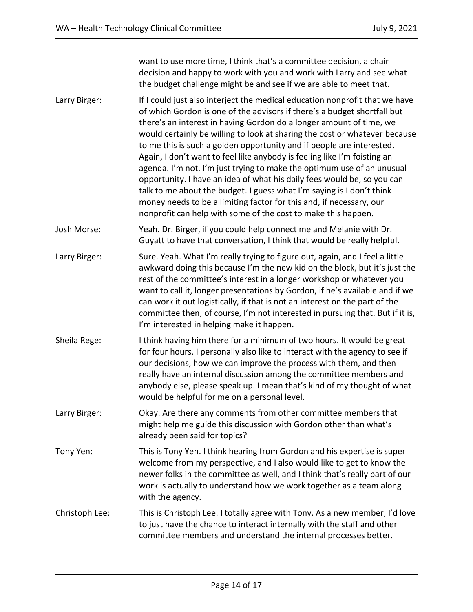want to use more time, I think that's a committee decision, a chair decision and happy to work with you and work with Larry and see what the budget challenge might be and see if we are able to meet that. Larry Birger: If I could just also interject the medical education nonprofit that we have of which Gordon is one of the advisors if there's a budget shortfall but there's an interest in having Gordon do a longer amount of time, we would certainly be willing to look at sharing the cost or whatever because to me this is such a golden opportunity and if people are interested. Again, I don't want to feel like anybody is feeling like I'm foisting an agenda. I'm not. I'm just trying to make the optimum use of an unusual opportunity. I have an idea of what his daily fees would be, so you can talk to me about the budget. I guess what I'm saying is I don't think money needs to be a limiting factor for this and, if necessary, our nonprofit can help with some of the cost to make this happen. Josh Morse: Yeah. Dr. Birger, if you could help connect me and Melanie with Dr. Guyatt to have that conversation, I think that would be really helpful. Larry Birger: Sure. Yeah. What I'm really trying to figure out, again, and I feel a little awkward doing this because I'm the new kid on the block, but it's just the rest of the committee's interest in a longer workshop or whatever you want to call it, longer presentations by Gordon, if he's available and if we can work it out logistically, if that is not an interest on the part of the committee then, of course, I'm not interested in pursuing that. But if it is, I'm interested in helping make it happen. Sheila Rege: I think having him there for a minimum of two hours. It would be great for four hours. I personally also like to interact with the agency to see if our decisions, how we can improve the process with them, and then really have an internal discussion among the committee members and anybody else, please speak up. I mean that's kind of my thought of what would be helpful for me on a personal level. Larry Birger: Okay. Are there any comments from other committee members that might help me guide this discussion with Gordon other than what's already been said for topics? Tony Yen: This is Tony Yen. I think hearing from Gordon and his expertise is super welcome from my perspective, and I also would like to get to know the newer folks in the committee as well, and I think that's really part of our work is actually to understand how we work together as a team along with the agency. Christoph Lee: This is Christoph Lee. I totally agree with Tony. As a new member, I'd love to just have the chance to interact internally with the staff and other committee members and understand the internal processes better.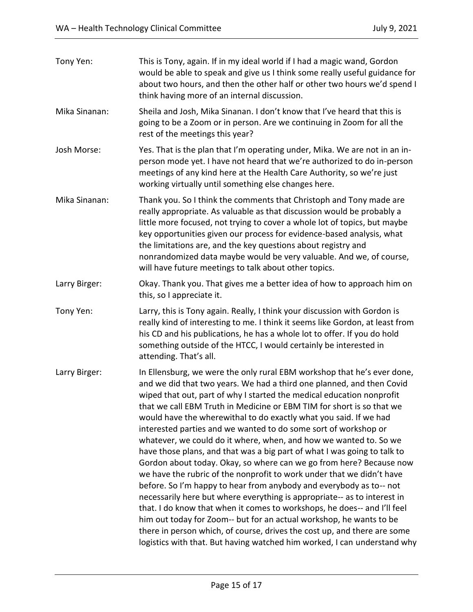| Tony Yen:     | This is Tony, again. If in my ideal world if I had a magic wand, Gordon<br>would be able to speak and give us I think some really useful guidance for<br>about two hours, and then the other half or other two hours we'd spend I<br>think having more of an internal discussion.                                                                                                                                                                                                                                                                                                                                                                                                                                                                                                                                                                                                                                                                                                                                                                                                                                                                                                                         |
|---------------|-----------------------------------------------------------------------------------------------------------------------------------------------------------------------------------------------------------------------------------------------------------------------------------------------------------------------------------------------------------------------------------------------------------------------------------------------------------------------------------------------------------------------------------------------------------------------------------------------------------------------------------------------------------------------------------------------------------------------------------------------------------------------------------------------------------------------------------------------------------------------------------------------------------------------------------------------------------------------------------------------------------------------------------------------------------------------------------------------------------------------------------------------------------------------------------------------------------|
| Mika Sinanan: | Sheila and Josh, Mika Sinanan. I don't know that I've heard that this is<br>going to be a Zoom or in person. Are we continuing in Zoom for all the<br>rest of the meetings this year?                                                                                                                                                                                                                                                                                                                                                                                                                                                                                                                                                                                                                                                                                                                                                                                                                                                                                                                                                                                                                     |
| Josh Morse:   | Yes. That is the plan that I'm operating under, Mika. We are not in an in-<br>person mode yet. I have not heard that we're authorized to do in-person<br>meetings of any kind here at the Health Care Authority, so we're just<br>working virtually until something else changes here.                                                                                                                                                                                                                                                                                                                                                                                                                                                                                                                                                                                                                                                                                                                                                                                                                                                                                                                    |
| Mika Sinanan: | Thank you. So I think the comments that Christoph and Tony made are<br>really appropriate. As valuable as that discussion would be probably a<br>little more focused, not trying to cover a whole lot of topics, but maybe<br>key opportunities given our process for evidence-based analysis, what<br>the limitations are, and the key questions about registry and<br>nonrandomized data maybe would be very valuable. And we, of course,<br>will have future meetings to talk about other topics.                                                                                                                                                                                                                                                                                                                                                                                                                                                                                                                                                                                                                                                                                                      |
| Larry Birger: | Okay. Thank you. That gives me a better idea of how to approach him on<br>this, so I appreciate it.                                                                                                                                                                                                                                                                                                                                                                                                                                                                                                                                                                                                                                                                                                                                                                                                                                                                                                                                                                                                                                                                                                       |
| Tony Yen:     | Larry, this is Tony again. Really, I think your discussion with Gordon is<br>really kind of interesting to me. I think it seems like Gordon, at least from<br>his CD and his publications, he has a whole lot to offer. If you do hold<br>something outside of the HTCC, I would certainly be interested in<br>attending. That's all.                                                                                                                                                                                                                                                                                                                                                                                                                                                                                                                                                                                                                                                                                                                                                                                                                                                                     |
| Larry Birger: | In Ellensburg, we were the only rural EBM workshop that he's ever done,<br>and we did that two years. We had a third one planned, and then Covid<br>wiped that out, part of why I started the medical education nonprofit<br>that we call EBM Truth in Medicine or EBM TIM for short is so that we<br>would have the wherewithal to do exactly what you said. If we had<br>interested parties and we wanted to do some sort of workshop or<br>whatever, we could do it where, when, and how we wanted to. So we<br>have those plans, and that was a big part of what I was going to talk to<br>Gordon about today. Okay, so where can we go from here? Because now<br>we have the rubric of the nonprofit to work under that we didn't have<br>before. So I'm happy to hear from anybody and everybody as to-- not<br>necessarily here but where everything is appropriate-- as to interest in<br>that. I do know that when it comes to workshops, he does-- and I'll feel<br>him out today for Zoom-- but for an actual workshop, he wants to be<br>there in person which, of course, drives the cost up, and there are some<br>logistics with that. But having watched him worked, I can understand why |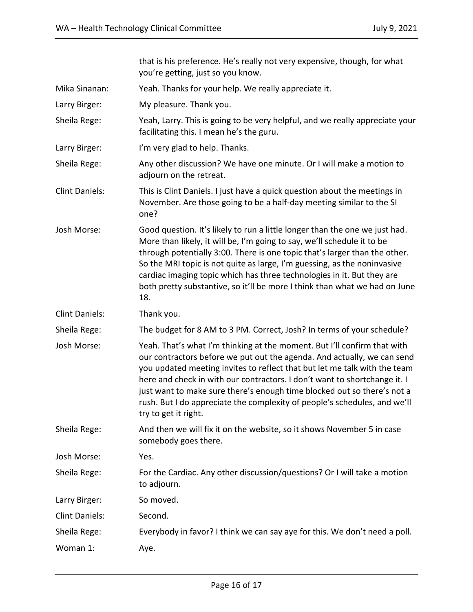|                       | that is his preference. He's really not very expensive, though, for what<br>you're getting, just so you know.                                                                                                                                                                                                                                                                                                                                                                                 |  |
|-----------------------|-----------------------------------------------------------------------------------------------------------------------------------------------------------------------------------------------------------------------------------------------------------------------------------------------------------------------------------------------------------------------------------------------------------------------------------------------------------------------------------------------|--|
| Mika Sinanan:         | Yeah. Thanks for your help. We really appreciate it.                                                                                                                                                                                                                                                                                                                                                                                                                                          |  |
| Larry Birger:         | My pleasure. Thank you.                                                                                                                                                                                                                                                                                                                                                                                                                                                                       |  |
| Sheila Rege:          | Yeah, Larry. This is going to be very helpful, and we really appreciate your<br>facilitating this. I mean he's the guru.                                                                                                                                                                                                                                                                                                                                                                      |  |
| Larry Birger:         | I'm very glad to help. Thanks.                                                                                                                                                                                                                                                                                                                                                                                                                                                                |  |
| Sheila Rege:          | Any other discussion? We have one minute. Or I will make a motion to<br>adjourn on the retreat.                                                                                                                                                                                                                                                                                                                                                                                               |  |
| <b>Clint Daniels:</b> | This is Clint Daniels. I just have a quick question about the meetings in<br>November. Are those going to be a half-day meeting similar to the SI<br>one?                                                                                                                                                                                                                                                                                                                                     |  |
| Josh Morse:           | Good question. It's likely to run a little longer than the one we just had.<br>More than likely, it will be, I'm going to say, we'll schedule it to be<br>through potentially 3:00. There is one topic that's larger than the other.<br>So the MRI topic is not quite as large, I'm guessing, as the noninvasive<br>cardiac imaging topic which has three technologies in it. But they are<br>both pretty substantive, so it'll be more I think than what we had on June<br>18.               |  |
| <b>Clint Daniels:</b> | Thank you.                                                                                                                                                                                                                                                                                                                                                                                                                                                                                    |  |
| Sheila Rege:          | The budget for 8 AM to 3 PM. Correct, Josh? In terms of your schedule?                                                                                                                                                                                                                                                                                                                                                                                                                        |  |
| Josh Morse:           | Yeah. That's what I'm thinking at the moment. But I'll confirm that with<br>our contractors before we put out the agenda. And actually, we can send<br>you updated meeting invites to reflect that but let me talk with the team<br>here and check in with our contractors. I don't want to shortchange it. I<br>just want to make sure there's enough time blocked out so there's not a<br>rush. But I do appreciate the complexity of people's schedules, and we'll<br>try to get it right. |  |
| Sheila Rege:          | And then we will fix it on the website, so it shows November 5 in case<br>somebody goes there.                                                                                                                                                                                                                                                                                                                                                                                                |  |
| Josh Morse:           | Yes.                                                                                                                                                                                                                                                                                                                                                                                                                                                                                          |  |
| Sheila Rege:          | For the Cardiac. Any other discussion/questions? Or I will take a motion<br>to adjourn.                                                                                                                                                                                                                                                                                                                                                                                                       |  |
| Larry Birger:         | So moved.                                                                                                                                                                                                                                                                                                                                                                                                                                                                                     |  |
| <b>Clint Daniels:</b> | Second.                                                                                                                                                                                                                                                                                                                                                                                                                                                                                       |  |
| Sheila Rege:          | Everybody in favor? I think we can say aye for this. We don't need a poll.                                                                                                                                                                                                                                                                                                                                                                                                                    |  |
| Woman 1:              | Aye.                                                                                                                                                                                                                                                                                                                                                                                                                                                                                          |  |